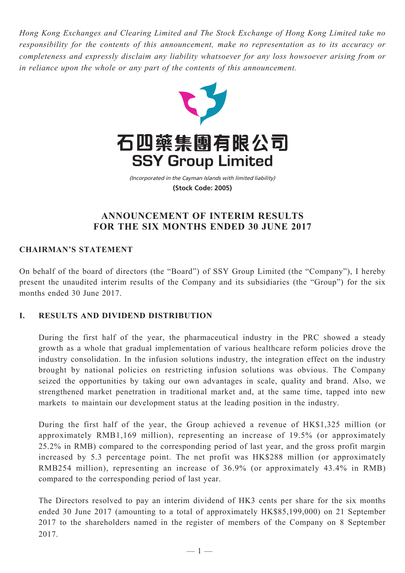*Hong Kong Exchanges and Clearing Limited and The Stock Exchange of Hong Kong Limited take no responsibility for the contents of this announcement, make no representation as to its accuracy or completeness and expressly disclaim any liability whatsoever for any loss howsoever arising from or in reliance upon the whole or any part of the contents of this announcement.*



(Incorporated in the Cayman Islands with limited liability) **(Stock Code: 2005)**

# **ANNOUNCEMENT OF INTERIM RESULTS FOR THE SIX MONTHS ENDED 30 JUNE 2017**

# **Chairman's Statement**

On behalf of the board of directors (the "Board") of SSY Group Limited (the "Company"), I hereby present the unaudited interim results of the Company and its subsidiaries (the "Group") for the six months ended 30 June 2017.

# **I. RESULTS AND DIVIDEND DISTRIBUTION**

During the first half of the year, the pharmaceutical industry in the PRC showed a steady growth as a whole that gradual implementation of various healthcare reform policies drove the industry consolidation. In the infusion solutions industry, the integration effect on the industry brought by national policies on restricting infusion solutions was obvious. The Company seized the opportunities by taking our own advantages in scale, quality and brand. Also, we strengthened market penetration in traditional market and, at the same time, tapped into new markets to maintain our development status at the leading position in the industry.

During the first half of the year, the Group achieved a revenue of HK\$1,325 million (or approximately RMB1,169 million), representing an increase of 19.5% (or approximately 25.2% in RMB) compared to the corresponding period of last year, and the gross profit margin increased by 5.3 percentage point. The net profit was HK\$288 million (or approximately RMB254 million), representing an increase of 36.9% (or approximately 43.4% in RMB) compared to the corresponding period of last year.

The Directors resolved to pay an interim dividend of HK3 cents per share for the six months ended 30 June 2017 (amounting to a total of approximately HK\$85,199,000) on 21 September 2017 to the shareholders named in the register of members of the Company on 8 September 2017.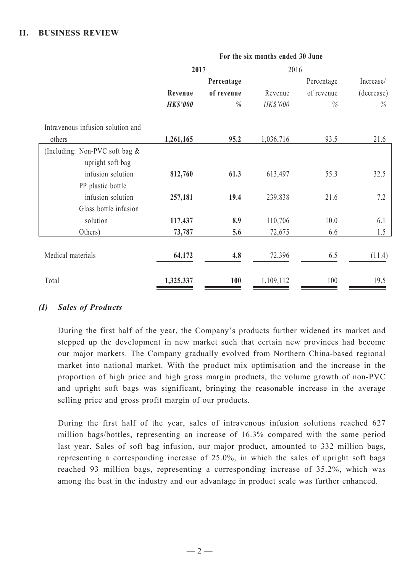|  |  |  | For the six months ended 30 June |  |  |  |
|--|--|--|----------------------------------|--|--|--|
|--|--|--|----------------------------------|--|--|--|

|                                   | 2017            |            | 2016      |               |            |
|-----------------------------------|-----------------|------------|-----------|---------------|------------|
|                                   |                 | Percentage |           | Percentage    | Increase/  |
|                                   | Revenue         | of revenue | Revenue   | of revenue    | (decrease) |
|                                   | <b>HK\$'000</b> | %          | HK\$'000  | $\frac{0}{0}$ | $\%$       |
| Intravenous infusion solution and |                 |            |           |               |            |
| others                            | 1,261,165       | 95.2       | 1,036,716 | 93.5          | 21.6       |
| (Including: Non-PVC soft bag &    |                 |            |           |               |            |
| upright soft bag                  |                 |            |           |               |            |
| infusion solution                 | 812,760         | 61.3       | 613,497   | 55.3          | 32.5       |
| PP plastic bottle                 |                 |            |           |               |            |
| infusion solution                 | 257,181         | 19.4       | 239,838   | 21.6          | 7.2        |
| Glass bottle infusion             |                 |            |           |               |            |
| solution                          | 117,437         | 8.9        | 110,706   | 10.0          | 6.1        |
| Others)                           | 73,787          | 5.6        | 72,675    | 6.6           | 1.5        |
|                                   |                 |            |           |               |            |
| Medical materials                 | 64,172          | 4.8        | 72,396    | 6.5           | (11.4)     |
|                                   |                 |            |           |               |            |
| Total                             | 1,325,337       | <b>100</b> | 1,109,112 | 100           | 19.5       |

# *(I) Sales of Products*

During the first half of the year, the Company's products further widened its market and stepped up the development in new market such that certain new provinces had become our major markets. The Company gradually evolved from Northern China-based regional market into national market. With the product mix optimisation and the increase in the proportion of high price and high gross margin products, the volume growth of non-PVC and upright soft bags was significant, bringing the reasonable increase in the average selling price and gross profit margin of our products.

During the first half of the year, sales of intravenous infusion solutions reached 627 million bags/bottles, representing an increase of 16.3% compared with the same period last year. Sales of soft bag infusion, our major product, amounted to 332 million bags, representing a corresponding increase of 25.0%, in which the sales of upright soft bags reached 93 million bags, representing a corresponding increase of 35.2%, which was among the best in the industry and our advantage in product scale was further enhanced.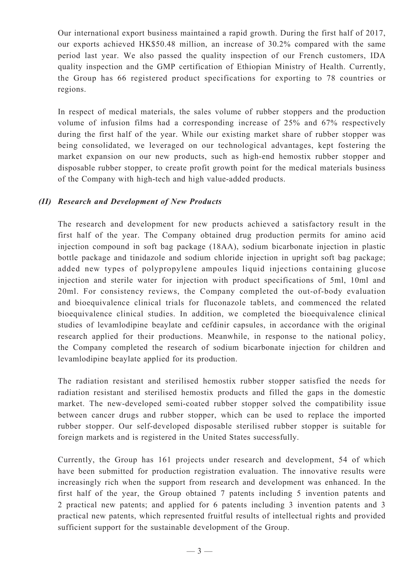Our international export business maintained a rapid growth. During the first half of 2017, our exports achieved HK\$50.48 million, an increase of 30.2% compared with the same period last year. We also passed the quality inspection of our French customers, IDA quality inspection and the GMP certification of Ethiopian Ministry of Health. Currently, the Group has 66 registered product specifications for exporting to 78 countries or regions.

In respect of medical materials, the sales volume of rubber stoppers and the production volume of infusion films had a corresponding increase of 25% and 67% respectively during the first half of the year. While our existing market share of rubber stopper was being consolidated, we leveraged on our technological advantages, kept fostering the market expansion on our new products, such as high-end hemostix rubber stopper and disposable rubber stopper, to create profit growth point for the medical materials business of the Company with high-tech and high value-added products.

# *(II) Research and Development of New Products*

The research and development for new products achieved a satisfactory result in the first half of the year. The Company obtained drug production permits for amino acid injection compound in soft bag package (18AA), sodium bicarbonate injection in plastic bottle package and tinidazole and sodium chloride injection in upright soft bag package; added new types of polypropylene ampoules liquid injections containing glucose injection and sterile water for injection with product specifications of 5ml, 10ml and 20ml. For consistency reviews, the Company completed the out-of-body evaluation and bioequivalence clinical trials for fluconazole tablets, and commenced the related bioequivalence clinical studies. In addition, we completed the bioequivalence clinical studies of levamlodipine beaylate and cefdinir capsules, in accordance with the original research applied for their productions. Meanwhile, in response to the national policy, the Company completed the research of sodium bicarbonate injection for children and levamlodipine beaylate applied for its production.

The radiation resistant and sterilised hemostix rubber stopper satisfied the needs for radiation resistant and sterilised hemostix products and filled the gaps in the domestic market. The new-developed semi-coated rubber stopper solved the compatibility issue between cancer drugs and rubber stopper, which can be used to replace the imported rubber stopper. Our self-developed disposable sterilised rubber stopper is suitable for foreign markets and is registered in the United States successfully.

Currently, the Group has 161 projects under research and development, 54 of which have been submitted for production registration evaluation. The innovative results were increasingly rich when the support from research and development was enhanced. In the first half of the year, the Group obtained 7 patents including 5 invention patents and 2 practical new patents; and applied for 6 patents including 3 invention patents and 3 practical new patents, which represented fruitful results of intellectual rights and provided sufficient support for the sustainable development of the Group.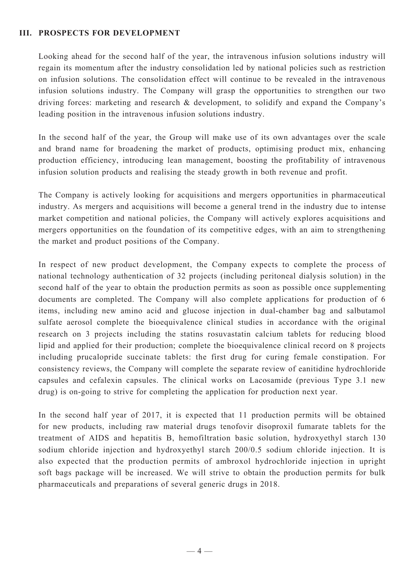# **III. PROSPECTS FOR DEVELOPMENT**

Looking ahead for the second half of the year, the intravenous infusion solutions industry will regain its momentum after the industry consolidation led by national policies such as restriction on infusion solutions. The consolidation effect will continue to be revealed in the intravenous infusion solutions industry. The Company will grasp the opportunities to strengthen our two driving forces: marketing and research & development, to solidify and expand the Company's leading position in the intravenous infusion solutions industry.

In the second half of the year, the Group will make use of its own advantages over the scale and brand name for broadening the market of products, optimising product mix, enhancing production efficiency, introducing lean management, boosting the profitability of intravenous infusion solution products and realising the steady growth in both revenue and profit.

The Company is actively looking for acquisitions and mergers opportunities in pharmaceutical industry. As mergers and acquisitions will become a general trend in the industry due to intense market competition and national policies, the Company will actively explores acquisitions and mergers opportunities on the foundation of its competitive edges, with an aim to strengthening the market and product positions of the Company.

In respect of new product development, the Company expects to complete the process of national technology authentication of 32 projects (including peritoneal dialysis solution) in the second half of the year to obtain the production permits as soon as possible once supplementing documents are completed. The Company will also complete applications for production of 6 items, including new amino acid and glucose injection in dual-chamber bag and salbutamol sulfate aerosol complete the bioequivalence clinical studies in accordance with the original research on 3 projects including the statins rosuvastatin calcium tablets for reducing blood lipid and applied for their production; complete the bioequivalence clinical record on 8 projects including prucalopride succinate tablets: the first drug for curing female constipation. For consistency reviews, the Company will complete the separate review of eanitidine hydrochloride capsules and cefalexin capsules. The clinical works on Lacosamide (previous Type 3.1 new drug) is on-going to strive for completing the application for production next year.

In the second half year of 2017, it is expected that 11 production permits will be obtained for new products, including raw material drugs tenofovir disoproxil fumarate tablets for the treatment of AIDS and hepatitis B, hemofiltration basic solution, hydroxyethyl starch 130 sodium chloride injection and hydroxyethyl starch 200/0.5 sodium chloride injection. It is also expected that the production permits of ambroxol hydrochloride injection in upright soft bags package will be increased. We will strive to obtain the production permits for bulk pharmaceuticals and preparations of several generic drugs in 2018.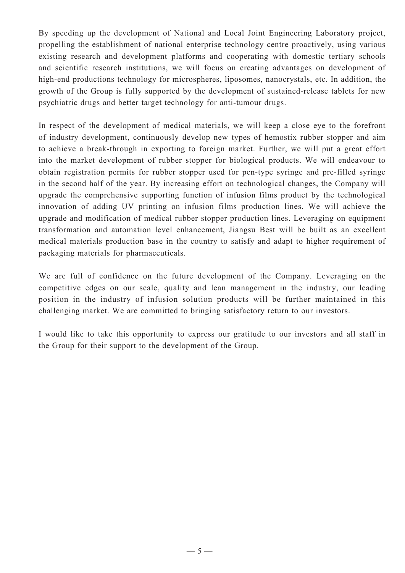By speeding up the development of National and Local Joint Engineering Laboratory project, propelling the establishment of national enterprise technology centre proactively, using various existing research and development platforms and cooperating with domestic tertiary schools and scientific research institutions, we will focus on creating advantages on development of high-end productions technology for microspheres, liposomes, nanocrystals, etc. In addition, the growth of the Group is fully supported by the development of sustained-release tablets for new psychiatric drugs and better target technology for anti-tumour drugs.

In respect of the development of medical materials, we will keep a close eye to the forefront of industry development, continuously develop new types of hemostix rubber stopper and aim to achieve a break-through in exporting to foreign market. Further, we will put a great effort into the market development of rubber stopper for biological products. We will endeavour to obtain registration permits for rubber stopper used for pen-type syringe and pre-filled syringe in the second half of the year. By increasing effort on technological changes, the Company will upgrade the comprehensive supporting function of infusion films product by the technological innovation of adding UV printing on infusion films production lines. We will achieve the upgrade and modification of medical rubber stopper production lines. Leveraging on equipment transformation and automation level enhancement, Jiangsu Best will be built as an excellent medical materials production base in the country to satisfy and adapt to higher requirement of packaging materials for pharmaceuticals.

We are full of confidence on the future development of the Company. Leveraging on the competitive edges on our scale, quality and lean management in the industry, our leading position in the industry of infusion solution products will be further maintained in this challenging market. We are committed to bringing satisfactory return to our investors.

I would like to take this opportunity to express our gratitude to our investors and all staff in the Group for their support to the development of the Group.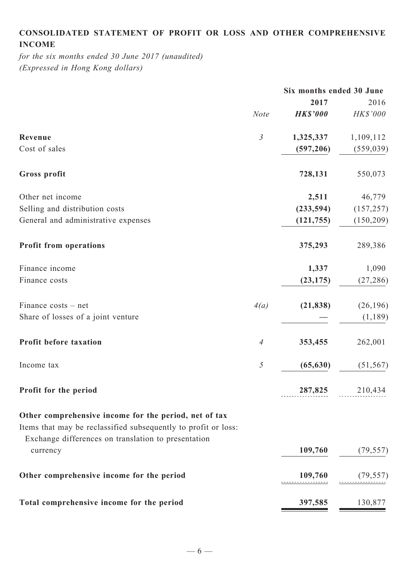# **Consolidated statement of profit or loss and other comprehensive income**

*for the six months ended 30 June 2017 (unaudited) (Expressed in Hong Kong dollars)*

|                                                                                                                                                                                |                | Six months ended 30 June |                    |  |
|--------------------------------------------------------------------------------------------------------------------------------------------------------------------------------|----------------|--------------------------|--------------------|--|
|                                                                                                                                                                                |                | 2017                     | 2016               |  |
|                                                                                                                                                                                | <b>Note</b>    | <b>HK\$'000</b>          | HK\$'000           |  |
| Revenue                                                                                                                                                                        | $\mathfrak{Z}$ | 1,325,337                | 1,109,112          |  |
| Cost of sales                                                                                                                                                                  |                | (597, 206)               | (559, 039)         |  |
| Gross profit                                                                                                                                                                   |                | 728,131                  | 550,073            |  |
| Other net income                                                                                                                                                               |                | 2,511                    | 46,779             |  |
| Selling and distribution costs                                                                                                                                                 |                | (233, 594)               | (157, 257)         |  |
| General and administrative expenses                                                                                                                                            |                | (121, 755)               | (150, 209)         |  |
| <b>Profit from operations</b>                                                                                                                                                  |                | 375,293                  | 289,386            |  |
| Finance income                                                                                                                                                                 |                | 1,337                    | 1,090              |  |
| Finance costs                                                                                                                                                                  |                | (23, 175)                | (27, 286)          |  |
| Finance costs – net                                                                                                                                                            | 4(a)           | (21, 838)                | (26, 196)          |  |
| Share of losses of a joint venture                                                                                                                                             |                |                          | (1,189)            |  |
| Profit before taxation                                                                                                                                                         | $\overline{A}$ | 353,455                  | 262,001            |  |
| Income tax                                                                                                                                                                     | $\sqrt{2}$     | (65, 630)                | (51, 567)          |  |
| Profit for the period                                                                                                                                                          |                | 287,825                  | 210,434            |  |
| Other comprehensive income for the period, net of tax<br>Items that may be reclassified subsequently to profit or loss:<br>Exchange differences on translation to presentation |                |                          |                    |  |
| currency                                                                                                                                                                       |                | 109,760                  | (79, 557)          |  |
| Other comprehensive income for the period                                                                                                                                      |                |                          | $109,760$ (79,557) |  |
| Total comprehensive income for the period                                                                                                                                      |                | 397,585                  | 130,877            |  |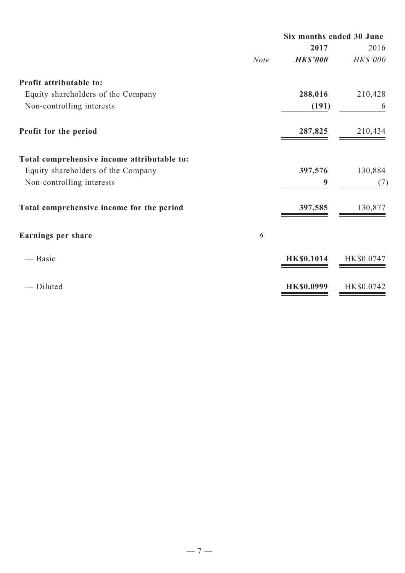|                                             |             | Six months ended 30 June |            |  |
|---------------------------------------------|-------------|--------------------------|------------|--|
|                                             |             | 2017                     | 2016       |  |
|                                             | <b>Note</b> | <b>HK\$'000</b>          | HK\$'000   |  |
| Profit attributable to:                     |             |                          |            |  |
| Equity shareholders of the Company          |             | 288,016                  | 210,428    |  |
| Non-controlling interests                   |             | (191)                    | 6          |  |
| Profit for the period                       |             | 287,825                  | 210,434    |  |
| Total comprehensive income attributable to: |             |                          |            |  |
| Equity shareholders of the Company          |             | 397,576                  | 130,884    |  |
| Non-controlling interests                   |             | 9                        | (7)        |  |
| Total comprehensive income for the period   |             | 397,585                  | 130,877    |  |
| Earnings per share                          | 6           |                          |            |  |
| — Basic                                     |             | <b>HK\$0.1014</b>        | HK\$0.0747 |  |
| - Diluted                                   |             | <b>HK\$0.0999</b>        | HK\$0.0742 |  |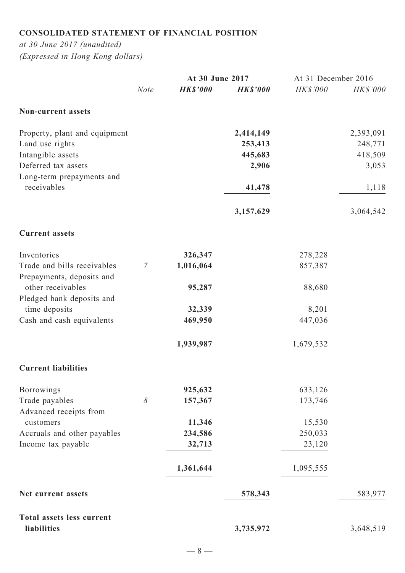# **Consolidated statement of financial position**

*at 30 June 2017 (unaudited) (Expressed in Hong Kong dollars)*

|                                                          |                | At 30 June 2017 |                 | At 31 December 2016 |                 |
|----------------------------------------------------------|----------------|-----------------|-----------------|---------------------|-----------------|
|                                                          | <b>Note</b>    | <b>HK\$'000</b> | <b>HK\$'000</b> | HK\$'000            | <b>HK\$'000</b> |
| Non-current assets                                       |                |                 |                 |                     |                 |
| Property, plant and equipment                            |                |                 | 2,414,149       |                     | 2,393,091       |
| Land use rights                                          |                |                 | 253,413         |                     | 248,771         |
| Intangible assets                                        |                |                 | 445,683         |                     | 418,509         |
| Deferred tax assets                                      |                |                 | 2,906           |                     | 3,053           |
| Long-term prepayments and                                |                |                 |                 |                     |                 |
| receivables                                              |                |                 | 41,478          |                     | 1,118           |
|                                                          |                |                 | 3,157,629       |                     | 3,064,542       |
| <b>Current assets</b>                                    |                |                 |                 |                     |                 |
| Inventories                                              |                | 326,347         |                 | 278,228             |                 |
| Trade and bills receivables<br>Prepayments, deposits and | $\overline{7}$ | 1,016,064       |                 | 857,387             |                 |
| other receivables<br>Pledged bank deposits and           |                | 95,287          |                 | 88,680              |                 |
| time deposits                                            |                | 32,339          |                 | 8,201               |                 |
| Cash and cash equivalents                                |                | 469,950         |                 | 447,036             |                 |
|                                                          |                |                 |                 |                     |                 |
|                                                          |                | 1,939,987       |                 | 1,679,532           |                 |
| <b>Current liabilities</b>                               |                |                 |                 |                     |                 |
| <b>Borrowings</b>                                        |                | 925,632         |                 | 633,126             |                 |
| Trade payables<br>Advanced receipts from                 | 8              | 157,367         |                 | 173,746             |                 |
| customers                                                |                | 11,346          |                 | 15,530              |                 |
| Accruals and other payables                              |                | 234,586         |                 | 250,033             |                 |
| Income tax payable                                       |                | 32,713          |                 | 23,120              |                 |
|                                                          |                | 1,361,644       |                 | 1,095,555           |                 |
| Net current assets                                       |                |                 | 578,343         |                     | 583,977         |
| <b>Total assets less current</b>                         |                |                 |                 |                     |                 |
| liabilities                                              |                |                 | 3,735,972       |                     | 3,648,519       |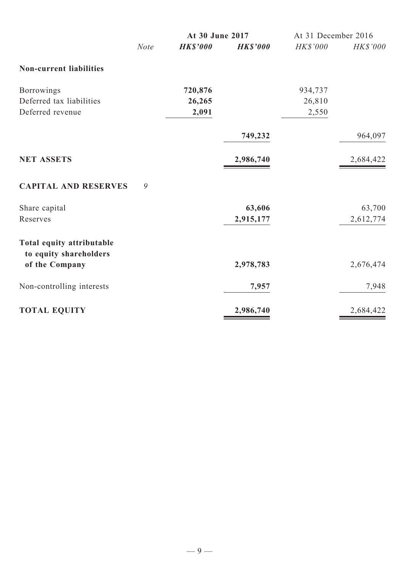|                                                     |             | At 30 June 2017 |                 | At 31 December 2016 |           |
|-----------------------------------------------------|-------------|-----------------|-----------------|---------------------|-----------|
|                                                     | <b>Note</b> | <b>HK\$'000</b> | <b>HK\$'000</b> | HK\$'000            | HK\$'000  |
| <b>Non-current liabilities</b>                      |             |                 |                 |                     |           |
| <b>Borrowings</b>                                   |             | 720,876         |                 | 934,737             |           |
| Deferred tax liabilities                            |             | 26,265          |                 | 26,810              |           |
| Deferred revenue                                    |             | 2,091           |                 | 2,550               |           |
|                                                     |             |                 | 749,232         |                     | 964,097   |
| <b>NET ASSETS</b>                                   |             |                 | 2,986,740       |                     | 2,684,422 |
| <b>CAPITAL AND RESERVES</b>                         | 9           |                 |                 |                     |           |
| Share capital                                       |             |                 | 63,606          |                     | 63,700    |
| Reserves                                            |             |                 | 2,915,177       |                     | 2,612,774 |
| Total equity attributable<br>to equity shareholders |             |                 |                 |                     |           |
| of the Company                                      |             |                 | 2,978,783       |                     | 2,676,474 |
| Non-controlling interests                           |             |                 | 7,957           |                     | 7,948     |
| <b>TOTAL EQUITY</b>                                 |             |                 | 2,986,740       |                     | 2,684,422 |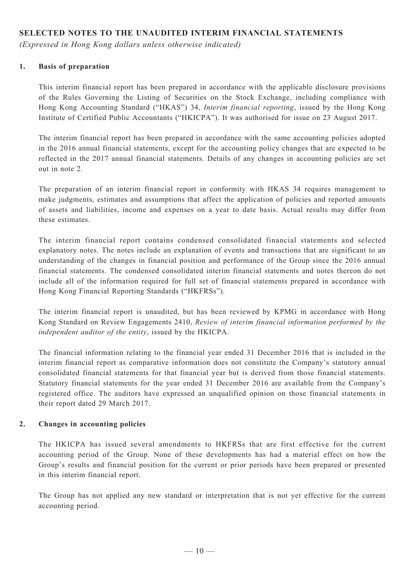# **SELECTED NOTES TO THE UNAUDITED INTERIM FINANCIAL STATEMENTS**

*(Expressed in Hong Kong dollars unless otherwise indicated)*

### **1. Basis of preparation**

This interim financial report has been prepared in accordance with the applicable disclosure provisions of the Rules Governing the Listing of Securities on the Stock Exchange, including compliance with Hong Kong Accounting Standard ("HKAS") 34, *Interim financial reporting*, issued by the Hong Kong Institute of Certified Public Accountants ("HKICPA"). It was authorised for issue on 23 August 2017.

The interim financial report has been prepared in accordance with the same accounting policies adopted in the 2016 annual financial statements, except for the accounting policy changes that are expected to be reflected in the 2017 annual financial statements. Details of any changes in accounting policies are set out in note 2.

The preparation of an interim financial report in conformity with HKAS 34 requires management to make judgments, estimates and assumptions that affect the application of policies and reported amounts of assets and liabilities, income and expenses on a year to date basis. Actual results may differ from these estimates.

The interim financial report contains condensed consolidated financial statements and selected explanatory notes. The notes include an explanation of events and transactions that are significant to an understanding of the changes in financial position and performance of the Group since the 2016 annual financial statements. The condensed consolidated interim financial statements and notes thereon do not include all of the information required for full set of financial statements prepared in accordance with Hong Kong Financial Reporting Standards ("HKFRSs").

The interim financial report is unaudited, but has been reviewed by KPMG in accordance with Hong Kong Standard on Review Engagements 2410, *Review of interim financial information performed by the independent auditor of the entity*, issued by the HKICPA.

The financial information relating to the financial year ended 31 December 2016 that is included in the interim financial report as comparative information does not constitute the Company's statutory annual consolidated financial statements for that financial year but is derived from those financial statements. Statutory financial statements for the year ended 31 December 2016 are available from the Company's registered office. The auditors have expressed an unqualified opinion on those financial statements in their report dated 29 March 2017.

#### **2. Changes in accounting policies**

The HKICPA has issued several amendments to HKFRSs that are first effective for the current accounting period of the Group. None of these developments has had a material effect on how the Group's results and financial position for the current or prior periods have been prepared or presented in this interim financial report.

The Group has not applied any new standard or interpretation that is not yet effective for the current accounting period.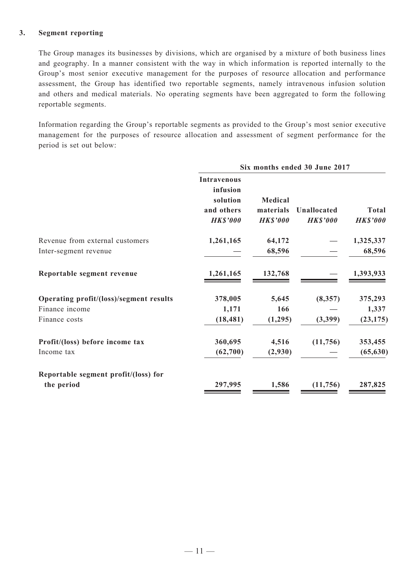#### **3. Segment reporting**

The Group manages its businesses by divisions, which are organised by a mixture of both business lines and geography. In a manner consistent with the way in which information is reported internally to the Group's most senior executive management for the purposes of resource allocation and performance assessment, the Group has identified two reportable segments, namely intravenous infusion solution and others and medical materials. No operating segments have been aggregated to form the following reportable segments.

Information regarding the Group's reportable segments as provided to the Group's most senior executive management for the purposes of resource allocation and assessment of segment performance for the period is set out below:

|                                                    | Six months ended 30 June 2017                                               |                                                |                                |                                 |  |
|----------------------------------------------------|-----------------------------------------------------------------------------|------------------------------------------------|--------------------------------|---------------------------------|--|
|                                                    | <b>Intravenous</b><br>infusion<br>solution<br>and others<br><b>HK\$'000</b> | <b>Medical</b><br>materials<br><b>HK\$'000</b> | Unallocated<br><b>HK\$'000</b> | <b>Total</b><br><b>HK\$'000</b> |  |
| Revenue from external customers                    | 1,261,165                                                                   | 64,172                                         |                                | 1,325,337                       |  |
| Inter-segment revenue                              |                                                                             | 68,596                                         |                                | 68,596                          |  |
| Reportable segment revenue                         | 1,261,165                                                                   | 132,768                                        |                                | 1,393,933                       |  |
| Operating profit/(loss)/segment results            | 378,005                                                                     | 5,645                                          | (8,357)                        | 375,293                         |  |
| Finance income                                     | 1,171                                                                       | 166                                            |                                | 1,337                           |  |
| Finance costs                                      | (18, 481)                                                                   | (1,295)                                        | (3,399)                        | (23, 175)                       |  |
| Profit/(loss) before income tax                    | 360,695                                                                     | 4,516                                          | (11,756)                       | 353,455                         |  |
| Income tax                                         | (62,700)                                                                    | (2,930)                                        |                                | (65, 630)                       |  |
| Reportable segment profit/(loss) for<br>the period | 297,995                                                                     | 1,586                                          | (11, 756)                      | 287,825                         |  |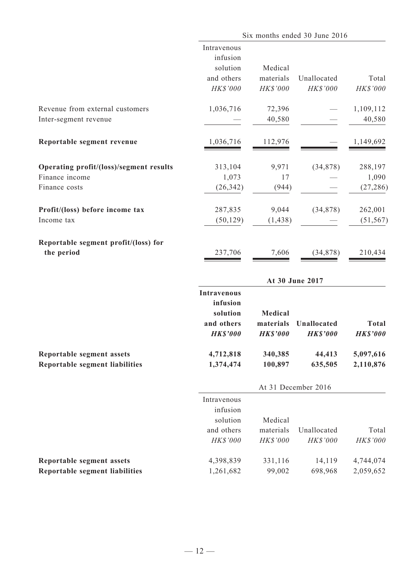|                                                                            |                                                                             |                                         | Six months ended 30 June 2016  |                                 |
|----------------------------------------------------------------------------|-----------------------------------------------------------------------------|-----------------------------------------|--------------------------------|---------------------------------|
|                                                                            | Intravenous<br>infusion<br>solution<br>and others<br>HK\$'000               | Medical<br>materials<br>HK\$'000        | Unallocated<br>HK\$'000        | Total<br>HK\$'000               |
| Revenue from external customers<br>Inter-segment revenue                   | 1,036,716                                                                   | 72,396<br>40,580                        |                                | 1,109,112<br>40,580             |
| Reportable segment revenue                                                 | 1,036,716                                                                   | 112,976                                 |                                | 1,149,692                       |
| Operating profit/(loss)/segment results<br>Finance income<br>Finance costs | 313,104<br>1,073<br>(26, 342)                                               | 9,971<br>17<br>(944)                    | (34, 878)                      | 288,197<br>1,090<br>(27, 286)   |
| Profit/(loss) before income tax<br>Income tax                              | 287,835<br>(50, 129)                                                        | 9,044<br>(1, 438)                       | (34, 878)                      | 262,001<br>(51, 567)            |
| Reportable segment profit/(loss) for<br>the period                         | 237,706                                                                     | 7,606                                   | (34, 878)                      | 210,434                         |
|                                                                            |                                                                             |                                         | At 30 June 2017                |                                 |
|                                                                            | <b>Intravenous</b><br>infusion<br>solution<br>and others<br><b>HK\$'000</b> | Medical<br>materials<br><b>HK\$'000</b> | Unallocated<br><b>HK\$'000</b> | <b>Total</b><br><b>HK\$'000</b> |
| Reportable segment assets<br><b>Reportable segment liabilities</b>         | 4,712,818<br>1,374,474                                                      | 340,385<br>100,897                      | 44,413<br>635,505              | 5,097,616<br>2,110,876          |
|                                                                            |                                                                             |                                         | At 31 December 2016            |                                 |
|                                                                            | Intravenous<br>infusion<br>solution<br>and others<br>HK\$'000               | Medical<br>materials<br>HK\$'000        | Unallocated<br>HK\$'000        | Total<br>HK\$'000               |
| Reportable segment assets                                                  |                                                                             |                                         |                                |                                 |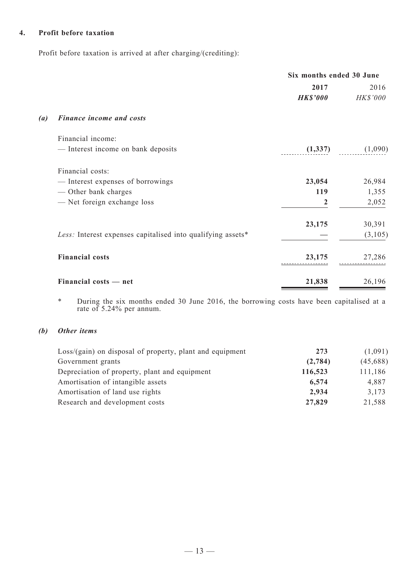#### **4. Profit before taxation**

Profit before taxation is arrived at after charging/(crediting):

|                                                             | Six months ended 30 June |          |
|-------------------------------------------------------------|--------------------------|----------|
|                                                             | 2017                     | 2016     |
|                                                             | <b>HK\$'000</b>          | HK\$'000 |
| <b>Finance income and costs</b><br>$\left( a\right)$        |                          |          |
| Financial income:                                           |                          |          |
| - Interest income on bank deposits                          | (1, 337)                 | (1,090)  |
| Financial costs:                                            |                          |          |
| - Interest expenses of borrowings                           | 23,054                   | 26,984   |
| — Other bank charges                                        | 119                      | 1,355    |
| - Net foreign exchange loss                                 | 2                        | 2,052    |
|                                                             | 23,175                   | 30,391   |
| Less: Interest expenses capitalised into qualifying assets* |                          | (3,105)  |
| <b>Financial costs</b>                                      | 23,175                   | 27,286   |
| Financial costs - net                                       | 21,838                   | 26,196   |

\* During the six months ended 30 June 2016, the borrowing costs have been capitalised at a rate of 5.24% per annum.

# *(b) Other items*

| $Loss/(gain)$ on disposal of property, plant and equipment | 273     | (1,091)   |
|------------------------------------------------------------|---------|-----------|
| Government grants                                          | (2,784) | (45, 688) |
| Depreciation of property, plant and equipment              | 116,523 | 111,186   |
| Amortisation of intangible assets                          | 6,574   | 4,887     |
| Amortisation of land use rights                            | 2,934   | 3,173     |
| Research and development costs                             | 27,829  | 21,588    |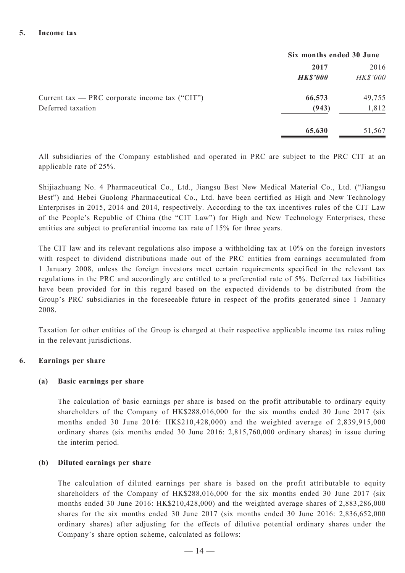|                                                  | Six months ended 30 June |          |
|--------------------------------------------------|--------------------------|----------|
|                                                  | 2017                     | 2016     |
|                                                  | <b>HK\$'000</b>          | HK\$'000 |
| Current tax — PRC corporate income tax $("CIT")$ | 66,573                   | 49,755   |
| Deferred taxation                                | (943)                    | 1,812    |
|                                                  | 65,630                   | 51,567   |

All subsidiaries of the Company established and operated in PRC are subject to the PRC CIT at an applicable rate of 25%.

Shijiazhuang No. 4 Pharmaceutical Co., Ltd., Jiangsu Best New Medical Material Co., Ltd. ("Jiangsu Best") and Hebei Guolong Pharmaceutical Co., Ltd. have been certified as High and New Technology Enterprises in 2015, 2014 and 2014, respectively. According to the tax incentives rules of the CIT Law of the People's Republic of China (the "CIT Law") for High and New Technology Enterprises, these entities are subject to preferential income tax rate of 15% for three years.

The CIT law and its relevant regulations also impose a withholding tax at 10% on the foreign investors with respect to dividend distributions made out of the PRC entities from earnings accumulated from 1 January 2008, unless the foreign investors meet certain requirements specified in the relevant tax regulations in the PRC and accordingly are entitled to a preferential rate of 5%. Deferred tax liabilities have been provided for in this regard based on the expected dividends to be distributed from the Group's PRC subsidiaries in the foreseeable future in respect of the profits generated since 1 January 2008.

Taxation for other entities of the Group is charged at their respective applicable income tax rates ruling in the relevant jurisdictions.

# **6. Earnings per share**

#### **(a) Basic earnings per share**

The calculation of basic earnings per share is based on the profit attributable to ordinary equity shareholders of the Company of HK\$288,016,000 for the six months ended 30 June 2017 (six months ended 30 June 2016: HK\$210,428,000) and the weighted average of 2,839,915,000 ordinary shares (six months ended 30 June 2016: 2,815,760,000 ordinary shares) in issue during the interim period.

#### **(b) Diluted earnings per share**

The calculation of diluted earnings per share is based on the profit attributable to equity shareholders of the Company of HK\$288,016,000 for the six months ended 30 June 2017 (six months ended 30 June 2016: HK\$210,428,000) and the weighted average shares of 2,883,286,000 shares for the six months ended 30 June 2017 (six months ended 30 June 2016: 2,836,652,000 ordinary shares) after adjusting for the effects of dilutive potential ordinary shares under the Company's share option scheme, calculated as follows: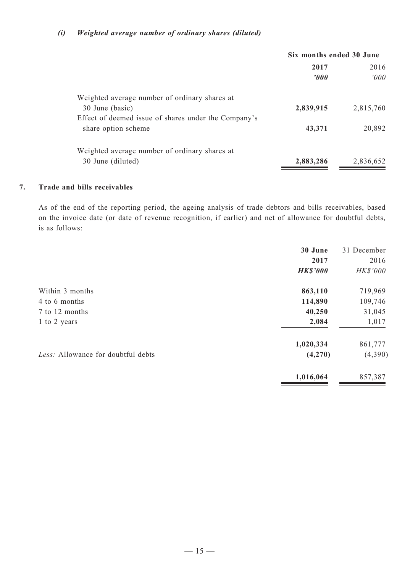#### *(i) Weighted average number of ordinary shares (diluted)*

|                                                      | Six months ended 30 June |           |  |
|------------------------------------------------------|--------------------------|-----------|--|
|                                                      | 2017                     | 2016      |  |
|                                                      | $\boldsymbol{v}$         | 000'      |  |
| Weighted average number of ordinary shares at        |                          |           |  |
| 30 June (basic)                                      | 2,839,915                | 2,815,760 |  |
| Effect of deemed issue of shares under the Company's |                          |           |  |
| share option scheme                                  | 43,371                   | 20,892    |  |
| Weighted average number of ordinary shares at        |                          |           |  |
| 30 June (diluted)                                    | 2,883,286                | 2,836,652 |  |

### **7. Trade and bills receivables**

As of the end of the reporting period, the ageing analysis of trade debtors and bills receivables, based on the invoice date (or date of revenue recognition, if earlier) and net of allowance for doubtful debts, is as follows:

|                                    | 30 June         | 31 December |
|------------------------------------|-----------------|-------------|
|                                    | 2017            | 2016        |
|                                    | <b>HK\$'000</b> | HK\$'000    |
| Within 3 months                    | 863,110         | 719,969     |
| 4 to 6 months                      | 114,890         | 109,746     |
| 7 to 12 months                     | 40,250          | 31,045      |
| 1 to 2 years                       | 2,084           | 1,017       |
|                                    | 1,020,334       | 861,777     |
| Less: Allowance for doubtful debts | (4,270)         | (4,390)     |
|                                    | 1,016,064       | 857,387     |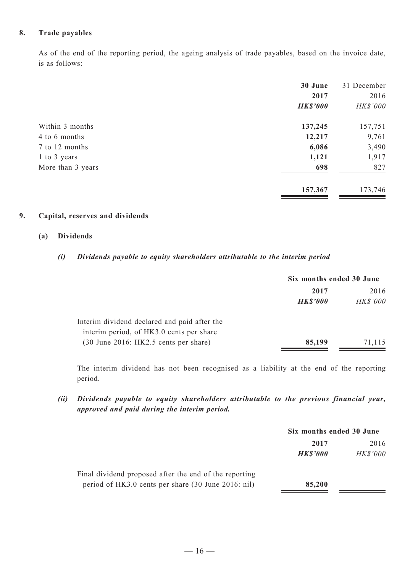#### **8. Trade payables**

As of the end of the reporting period, the ageing analysis of trade payables, based on the invoice date, is as follows:

|                   | 30 June         | 31 December |
|-------------------|-----------------|-------------|
|                   | 2017            | 2016        |
|                   | <b>HK\$'000</b> | HK\$'000    |
| Within 3 months   | 137,245         | 157,751     |
| 4 to 6 months     | 12,217          | 9,761       |
| 7 to 12 months    | 6,086           | 3,490       |
| 1 to 3 years      | 1,121           | 1,917       |
| More than 3 years | 698             | 827         |
|                   | 157,367         | 173,746     |

#### **9. Capital, reserves and dividends**

#### **(a) Dividends**

#### *(i) Dividends payable to equity shareholders attributable to the interim period*

|                                              | Six months ended 30 June |                 |
|----------------------------------------------|--------------------------|-----------------|
|                                              | 2017                     | 2016            |
|                                              | <b>HK\$'000</b>          | <b>HK\$'000</b> |
| Interim dividend declared and paid after the |                          |                 |
| interim period, of HK3.0 cents per share     |                          |                 |
| $(30$ June 2016: HK2.5 cents per share)      | 85,199                   | 71.115          |

The interim dividend has not been recognised as a liability at the end of the reporting period.

*(ii) Dividends payable to equity shareholders attributable to the previous financial year, approved and paid during the interim period.*

|                                                        | Six months ended 30 June |                 |  |
|--------------------------------------------------------|--------------------------|-----------------|--|
|                                                        | 2017                     | 2016            |  |
|                                                        | <b>HK\$'000</b>          | <b>HK\$'000</b> |  |
| Final dividend proposed after the end of the reporting |                          |                 |  |
| period of HK3.0 cents per share (30 June 2016: nil)    | 85,200                   |                 |  |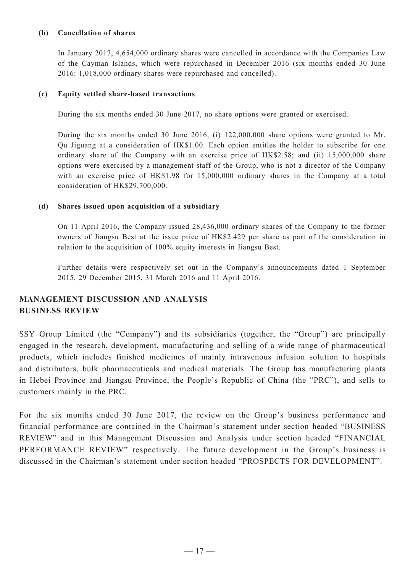#### **(b) Cancellation of shares**

In January 2017, 4,654,000 ordinary shares were cancelled in accordance with the Companies Law of the Cayman Islands, which were repurchased in December 2016 (six months ended 30 June 2016: 1,018,000 ordinary shares were repurchased and cancelled).

### **(c) Equity settled share-based transactions**

During the six months ended 30 June 2017, no share options were granted or exercised.

During the six months ended 30 June 2016, (i) 122,000,000 share options were granted to Mr. Qu Jiguang at a consideration of HK\$1.00. Each option entitles the holder to subscribe for one ordinary share of the Company with an exercise price of HK\$2.58; and (ii) 15,000,000 share options were exercised by a management staff of the Group, who is not a director of the Company with an exercise price of HK\$1.98 for 15,000,000 ordinary shares in the Company at a total consideration of HK\$29,700,000.

### **(d) Shares issued upon acquisition of a subsidiary**

On 11 April 2016, the Company issued 28,436,000 ordinary shares of the Company to the former owners of Jiangsu Best at the issue price of HK\$2.429 per share as part of the consideration in relation to the acquisition of 100% equity interests in Jiangsu Best.

Further details were respectively set out in the Company's announcements dated 1 September 2015, 29 December 2015, 31 March 2016 and 11 April 2016.

# **MANAGEMENT DISCUSSION AND ANALYSIS Business Review**

SSY Group Limited (the "Company") and its subsidiaries (together, the "Group") are principally engaged in the research, development, manufacturing and selling of a wide range of pharmaceutical products, which includes finished medicines of mainly intravenous infusion solution to hospitals and distributors, bulk pharmaceuticals and medical materials. The Group has manufacturing plants in Hebei Province and Jiangsu Province, the People's Republic of China (the "PRC"), and sells to customers mainly in the PRC.

For the six months ended 30 June 2017, the review on the Group's business performance and financial performance are contained in the Chairman's statement under section headed "BUSINESS REVIEW" and in this Management Discussion and Analysis under section headed "FINANCIAL PERFORMANCE REVIEW" respectively. The future development in the Group's business is discussed in the Chairman's statement under section headed "PROSPECTS FOR DEVELOPMENT".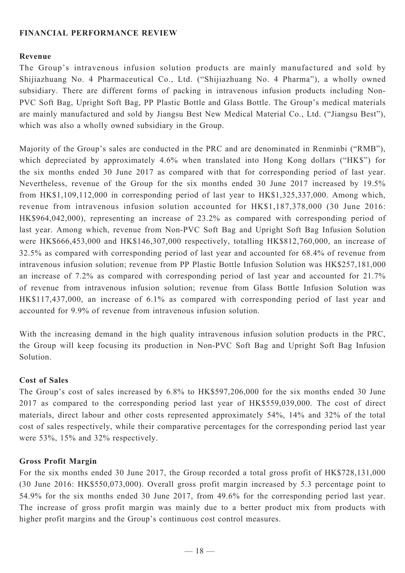# **FINANCIAL PERFORMANCE REVIEW**

### **Revenue**

The Group's intravenous infusion solution products are mainly manufactured and sold by Shijiazhuang No. 4 Pharmaceutical Co., Ltd. ("Shijiazhuang No. 4 Pharma"), a wholly owned subsidiary. There are different forms of packing in intravenous infusion products including Non-PVC Soft Bag, Upright Soft Bag, PP Plastic Bottle and Glass Bottle. The Group's medical materials are mainly manufactured and sold by Jiangsu Best New Medical Material Co., Ltd. ("Jiangsu Best"), which was also a wholly owned subsidiary in the Group.

Majority of the Group's sales are conducted in the PRC and are denominated in Renminbi ("RMB"), which depreciated by approximately 4.6% when translated into Hong Kong dollars ("HK\$") for the six months ended 30 June 2017 as compared with that for corresponding period of last year. Nevertheless, revenue of the Group for the six months ended 30 June 2017 increased by 19.5% from HK\$1,109,112,000 in corresponding period of last year to HK\$1,325,337,000. Among which, revenue from intravenous infusion solution accounted for HK\$1,187,378,000 (30 June 2016: HK\$964,042,000), representing an increase of 23.2% as compared with corresponding period of last year. Among which, revenue from Non-PVC Soft Bag and Upright Soft Bag Infusion Solution were HK\$666,453,000 and HK\$146,307,000 respectively, totalling HK\$812,760,000, an increase of 32.5% as compared with corresponding period of last year and accounted for 68.4% of revenue from intravenous infusion solution; revenue from PP Plastic Bottle Infusion Solution was HK\$257,181,000 an increase of 7.2% as compared with corresponding period of last year and accounted for 21.7% of revenue from intravenous infusion solution; revenue from Glass Bottle Infusion Solution was HK\$117,437,000, an increase of 6.1% as compared with corresponding period of last year and accounted for 9.9% of revenue from intravenous infusion solution.

With the increasing demand in the high quality intravenous infusion solution products in the PRC, the Group will keep focusing its production in Non-PVC Soft Bag and Upright Soft Bag Infusion Solution.

# **Cost of Sales**

The Group's cost of sales increased by 6.8% to HK\$597,206,000 for the six months ended 30 June 2017 as compared to the corresponding period last year of HK\$559,039,000. The cost of direct materials, direct labour and other costs represented approximately 54%, 14% and 32% of the total cost of sales respectively, while their comparative percentages for the corresponding period last year were 53%, 15% and 32% respectively.

#### **Gross Profit Margin**

For the six months ended 30 June 2017, the Group recorded a total gross profit of HK\$728,131,000 (30 June 2016: HK\$550,073,000). Overall gross profit margin increased by 5.3 percentage point to 54.9% for the six months ended 30 June 2017, from 49.6% for the corresponding period last year. The increase of gross profit margin was mainly due to a better product mix from products with higher profit margins and the Group's continuous cost control measures.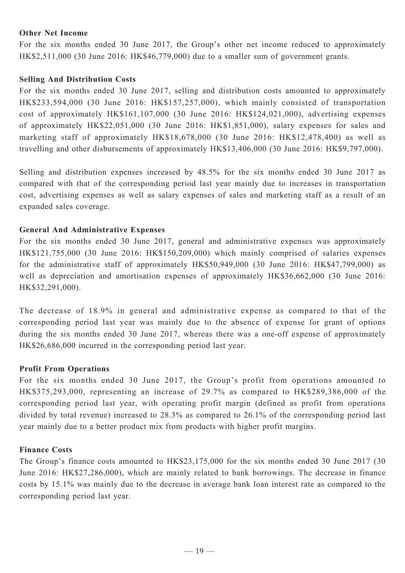### **Other Net Income**

For the six months ended 30 June 2017, the Group's other net income reduced to approximately HK\$2,511,000 (30 June 2016: HK\$46,779,000) due to a smaller sum of government grants.

# **Selling And Distribution Costs**

For the six months ended 30 June 2017, selling and distribution costs amounted to approximately HK\$233,594,000 (30 June 2016: HK\$157,257,000), which mainly consisted of transportation cost of approximately HK\$161,107,000 (30 June 2016: HK\$124,021,000), advertising expenses of approximately HK\$22,051,000 (30 June 2016: HK\$1,851,000), salary expenses for sales and marketing staff of approximately HK\$18,678,000 (30 June 2016: HK\$12,478,400) as well as travelling and other disbursements of approximately HK\$13,406,000 (30 June 2016: HK\$9,797,000).

Selling and distribution expenses increased by 48.5% for the six months ended 30 June 2017 as compared with that of the corresponding period last year mainly due to increases in transportation cost, advertising expenses as well as salary expenses of sales and marketing staff as a result of an expanded sales coverage.

### **General And Administrative Expenses**

For the six months ended 30 June 2017, general and administrative expenses was approximately HK\$121,755,000 (30 June 2016: HK\$150,209,000) which mainly comprised of salaries expenses for the administrative staff of approximately HK\$50,949,000 (30 June 2016: HK\$47,799,000) as well as depreciation and amortisation expenses of approximately HK\$36,662,000 (30 June 2016: HK\$32,291,000).

The decrease of 18.9% in general and administrative expense as compared to that of the corresponding period last year was mainly due to the absence of expense for grant of options during the six months ended 30 June 2017, whereas there was a one-off expense of approximately HK\$26,686,000 incurred in the corresponding period last year.

# **Profit From Operations**

For the six months ended 30 June 2017, the Group's profit from operations amounted to HK\$375,293,000, representing an increase of 29.7% as compared to HK\$289,386,000 of the corresponding period last year, with operating profit margin (defined as profit from operations divided by total revenue) increased to 28.3% as compared to 26.1% of the corresponding period last year mainly due to a better product mix from products with higher profit margins.

# **Finance Costs**

The Group's finance costs amounted to HK\$23,175,000 for the six months ended 30 June 2017 (30 June 2016: HK\$27,286,000), which are mainly related to bank borrowings. The decrease in finance costs by 15.1% was mainly due to the decrease in average bank loan interest rate as compared to the corresponding period last year.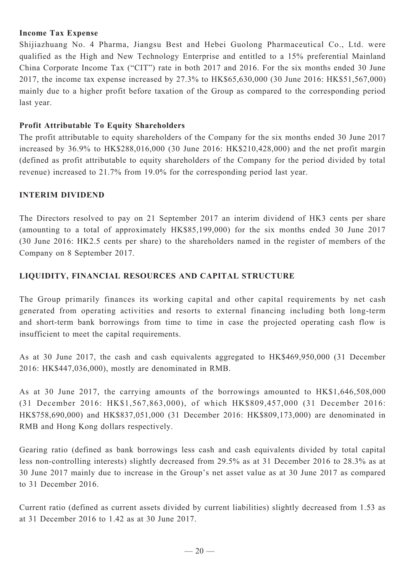# **Income Tax Expense**

Shijiazhuang No. 4 Pharma, Jiangsu Best and Hebei Guolong Pharmaceutical Co., Ltd. were qualified as the High and New Technology Enterprise and entitled to a 15% preferential Mainland China Corporate Income Tax ("CIT") rate in both 2017 and 2016. For the six months ended 30 June 2017, the income tax expense increased by 27.3% to HK\$65,630,000 (30 June 2016: HK\$51,567,000) mainly due to a higher profit before taxation of the Group as compared to the corresponding period last year.

# **Profit Attributable To Equity Shareholders**

The profit attributable to equity shareholders of the Company for the six months ended 30 June 2017 increased by 36.9% to HK\$288,016,000 (30 June 2016: HK\$210,428,000) and the net profit margin (defined as profit attributable to equity shareholders of the Company for the period divided by total revenue) increased to 21.7% from 19.0% for the corresponding period last year.

# **Interim Dividend**

The Directors resolved to pay on 21 September 2017 an interim dividend of HK3 cents per share (amounting to a total of approximately HK\$85,199,000) for the six months ended 30 June 2017 (30 June 2016: HK2.5 cents per share) to the shareholders named in the register of members of the Company on 8 September 2017.

# **LIQUIDITY, FINANCIAL RESOURCES AND CAPITAL STRUCTURE**

The Group primarily finances its working capital and other capital requirements by net cash generated from operating activities and resorts to external financing including both long-term and short-term bank borrowings from time to time in case the projected operating cash flow is insufficient to meet the capital requirements.

As at 30 June 2017, the cash and cash equivalents aggregated to HK\$469,950,000 (31 December 2016: HK\$447,036,000), mostly are denominated in RMB.

As at 30 June 2017, the carrying amounts of the borrowings amounted to HK\$1,646,508,000 (31 December 2016: HK\$1,567,863,000), of which HK\$809,457,000 (31 December 2016: HK\$758,690,000) and HK\$837,051,000 (31 December 2016: HK\$809,173,000) are denominated in RMB and Hong Kong dollars respectively.

Gearing ratio (defined as bank borrowings less cash and cash equivalents divided by total capital less non-controlling interests) slightly decreased from 29.5% as at 31 December 2016 to 28.3% as at 30 June 2017 mainly due to increase in the Group's net asset value as at 30 June 2017 as compared to 31 December 2016.

Current ratio (defined as current assets divided by current liabilities) slightly decreased from 1.53 as at 31 December 2016 to 1.42 as at 30 June 2017.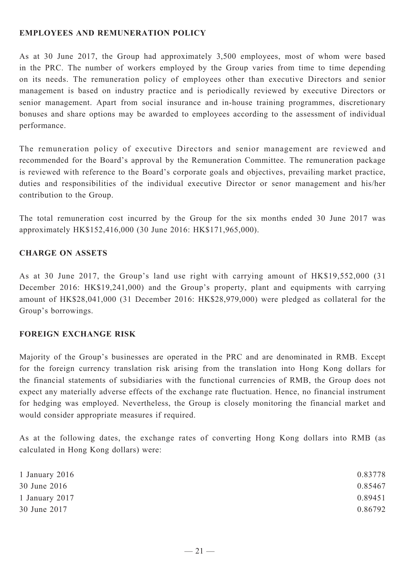# **EMPLOYEES AND REMUNERATION POLICY**

As at 30 June 2017, the Group had approximately 3,500 employees, most of whom were based in the PRC. The number of workers employed by the Group varies from time to time depending on its needs. The remuneration policy of employees other than executive Directors and senior management is based on industry practice and is periodically reviewed by executive Directors or senior management. Apart from social insurance and in-house training programmes, discretionary bonuses and share options may be awarded to employees according to the assessment of individual performance.

The remuneration policy of executive Directors and senior management are reviewed and recommended for the Board's approval by the Remuneration Committee. The remuneration package is reviewed with reference to the Board's corporate goals and objectives, prevailing market practice, duties and responsibilities of the individual executive Director or senor management and his/her contribution to the Group.

The total remuneration cost incurred by the Group for the six months ended 30 June 2017 was approximately HK\$152,416,000 (30 June 2016: HK\$171,965,000).

# **CHARGE ON ASSETS**

As at 30 June 2017, the Group's land use right with carrying amount of HK\$19,552,000 (31 December 2016: HK\$19,241,000) and the Group's property, plant and equipments with carrying amount of HK\$28,041,000 (31 December 2016: HK\$28,979,000) were pledged as collateral for the Group's borrowings.

# **FOREIGN EXCHANGE RISK**

Majority of the Group's businesses are operated in the PRC and are denominated in RMB. Except for the foreign currency translation risk arising from the translation into Hong Kong dollars for the financial statements of subsidiaries with the functional currencies of RMB, the Group does not expect any materially adverse effects of the exchange rate fluctuation. Hence, no financial instrument for hedging was employed. Nevertheless, the Group is closely monitoring the financial market and would consider appropriate measures if required.

As at the following dates, the exchange rates of converting Hong Kong dollars into RMB (as calculated in Hong Kong dollars) were:

| 1 January $2016$ | 0.83778 |
|------------------|---------|
| 30 June 2016     | 0.85467 |
| 1 January 2017   | 0.89451 |
| 30 June 2017     | 0.86792 |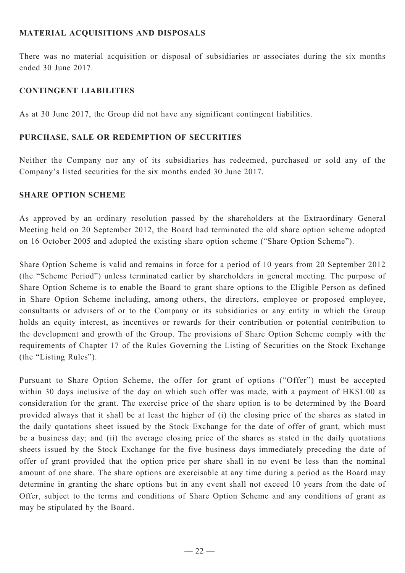# **Material acquisitions and disposals**

There was no material acquisition or disposal of subsidiaries or associates during the six months ended 30 June 2017.

# **CONTINGENT LIABILITIES**

As at 30 June 2017, the Group did not have any significant contingent liabilities.

### **PURCHASE, SALE OR REDEMPTION OF SECURITIES**

Neither the Company nor any of its subsidiaries has redeemed, purchased or sold any of the Company's listed securities for the six months ended 30 June 2017.

### **SHARE OPTION SCHEME**

As approved by an ordinary resolution passed by the shareholders at the Extraordinary General Meeting held on 20 September 2012, the Board had terminated the old share option scheme adopted on 16 October 2005 and adopted the existing share option scheme ("Share Option Scheme").

Share Option Scheme is valid and remains in force for a period of 10 years from 20 September 2012 (the "Scheme Period") unless terminated earlier by shareholders in general meeting. The purpose of Share Option Scheme is to enable the Board to grant share options to the Eligible Person as defined in Share Option Scheme including, among others, the directors, employee or proposed employee, consultants or advisers of or to the Company or its subsidiaries or any entity in which the Group holds an equity interest, as incentives or rewards for their contribution or potential contribution to the development and growth of the Group. The provisions of Share Option Scheme comply with the requirements of Chapter 17 of the Rules Governing the Listing of Securities on the Stock Exchange (the "Listing Rules").

Pursuant to Share Option Scheme, the offer for grant of options ("Offer") must be accepted within 30 days inclusive of the day on which such offer was made, with a payment of HK\$1.00 as consideration for the grant. The exercise price of the share option is to be determined by the Board provided always that it shall be at least the higher of (i) the closing price of the shares as stated in the daily quotations sheet issued by the Stock Exchange for the date of offer of grant, which must be a business day; and (ii) the average closing price of the shares as stated in the daily quotations sheets issued by the Stock Exchange for the five business days immediately preceding the date of offer of grant provided that the option price per share shall in no event be less than the nominal amount of one share. The share options are exercisable at any time during a period as the Board may determine in granting the share options but in any event shall not exceed 10 years from the date of Offer, subject to the terms and conditions of Share Option Scheme and any conditions of grant as may be stipulated by the Board.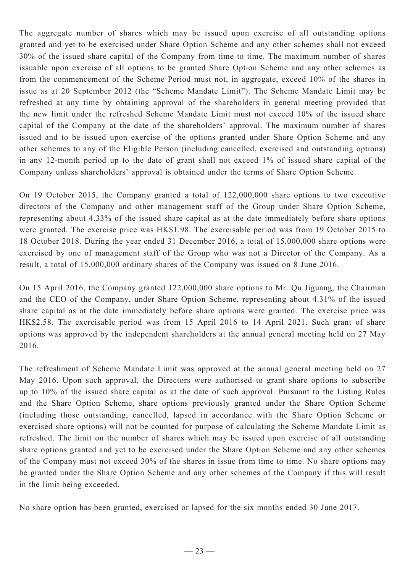The aggregate number of shares which may be issued upon exercise of all outstanding options granted and yet to be exercised under Share Option Scheme and any other schemes shall not exceed 30% of the issued share capital of the Company from time to time. The maximum number of shares issuable upon exercise of all options to be granted Share Option Scheme and any other schemes as from the commencement of the Scheme Period must not, in aggregate, exceed 10% of the shares in issue as at 20 September 2012 (the "Scheme Mandate Limit"). The Scheme Mandate Limit may be refreshed at any time by obtaining approval of the shareholders in general meeting provided that the new limit under the refreshed Scheme Mandate Limit must not exceed 10% of the issued share capital of the Company at the date of the shareholders' approval. The maximum number of shares issued and to be issued upon exercise of the options granted under Share Option Scheme and any other schemes to any of the Eligible Person (including cancelled, exercised and outstanding options) in any 12-month period up to the date of grant shall not exceed 1% of issued share capital of the Company unless shareholders' approval is obtained under the terms of Share Option Scheme.

On 19 October 2015, the Company granted a total of 122,000,000 share options to two executive directors of the Company and other management staff of the Group under Share Option Scheme, representing about 4.33% of the issued share capital as at the date immediately before share options were granted. The exercise price was HK\$1.98. The exercisable period was from 19 October 2015 to 18 October 2018. During the year ended 31 December 2016, a total of 15,000,000 share options were exercised by one of management staff of the Group who was not a Director of the Company. As a result, a total of 15,000,000 ordinary shares of the Company was issued on 8 June 2016.

On 15 April 2016, the Company granted 122,000,000 share options to Mr. Qu Jiguang, the Chairman and the CEO of the Company, under Share Option Scheme, representing about 4.31% of the issued share capital as at the date immediately before share options were granted. The exercise price was HK\$2.58. The exercisable period was from 15 April 2016 to 14 April 2021. Such grant of share options was approved by the independent shareholders at the annual general meeting held on 27 May 2016.

The refreshment of Scheme Mandate Limit was approved at the annual general meeting held on 27 May 2016. Upon such approval, the Directors were authorised to grant share options to subscribe up to 10% of the issued share capital as at the date of such approval. Pursuant to the Listing Rules and the Share Option Scheme, share options previously granted under the Share Option Scheme (including those outstanding, cancelled, lapsed in accordance with the Share Option Scheme or exercised share options) will not be counted for purpose of calculating the Scheme Mandate Limit as refreshed. The limit on the number of shares which may be issued upon exercise of all outstanding share options granted and yet to be exercised under the Share Option Scheme and any other schemes of the Company must not exceed 30% of the shares in issue from time to time. No share options may be granted under the Share Option Scheme and any other schemes of the Company if this will result in the limit being exceeded.

No share option has been granted, exercised or lapsed for the six months ended 30 June 2017.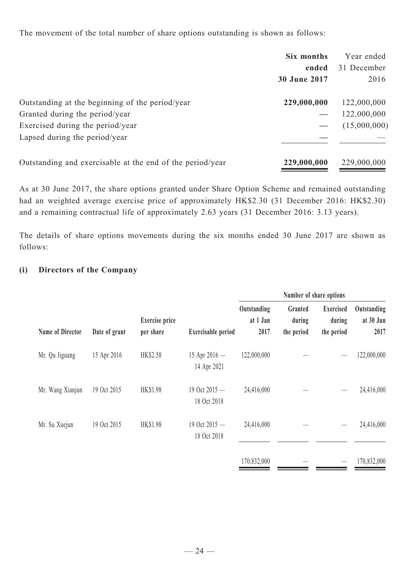The movement of the total number of share options outstanding is shown as follows:

|                                                           | Six months   | Year ended   |
|-----------------------------------------------------------|--------------|--------------|
|                                                           | ended        | 31 December  |
|                                                           | 30 June 2017 | 2016         |
| Outstanding at the beginning of the period/year           | 229,000,000  | 122,000,000  |
| Granted during the period/year                            |              | 122,000,000  |
| Exercised during the period/year                          |              | (15,000,000) |
| Lapsed during the period/year                             |              |              |
| Outstanding and exercisable at the end of the period/year | 229,000,000  | 229,000,000  |

As at 30 June 2017, the share options granted under Share Option Scheme and remained outstanding had an weighted average exercise price of approximately HK\$2.30 (31 December 2016: HK\$2.30) and a remaining contractual life of approximately 2.63 years (31 December 2016: 3.13 years).

The details of share options movements during the six months ended 30 June 2017 are shown as follows:

# **(i) Directors of the Company**

|                  |               |                                    |                                | Number of share options         |                                 |                                          |                                  |
|------------------|---------------|------------------------------------|--------------------------------|---------------------------------|---------------------------------|------------------------------------------|----------------------------------|
| Name of Director | Date of grant | <b>Exercise</b> price<br>per share | Exercisable period             | Outstanding<br>at 1 Jan<br>2017 | Granted<br>during<br>the period | <b>Exercised</b><br>during<br>the period | Outstanding<br>at 30 Jun<br>2017 |
| Mr. Qu Jiguang   | 15 Apr 2016   | HK\$2.58                           | 15 Apr $2016 -$<br>14 Apr 2021 | 122,000,000                     |                                 |                                          | 122,000,000                      |
| Mr. Wang Xianjun | 19 Oct 2015   | HK\$1.98                           | 19 Oct $2015 -$<br>18 Oct 2018 | 24,416,000                      |                                 |                                          | 24,416,000                       |
| Mr. Su Xuejun    | 19 Oct 2015   | HK\$1.98                           | 19 Oct 2015 -<br>18 Oct 2018   | 24,416,000                      |                                 |                                          | 24,416,000                       |
|                  |               |                                    |                                | 170,832,000                     |                                 |                                          | 170,832,000                      |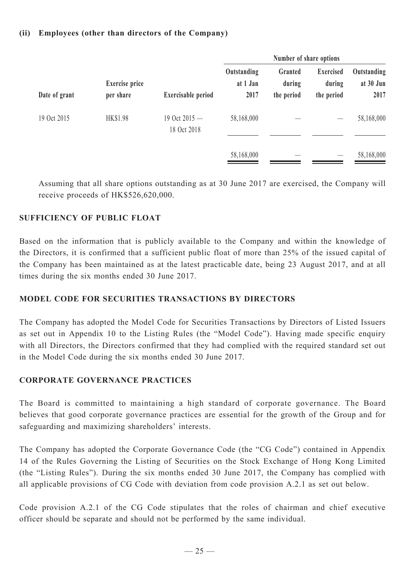# **(ii) Employees (other than directors of the Company)**

|               |                                    |                              |                                 | Number of share options         |                                          |                                  |
|---------------|------------------------------------|------------------------------|---------------------------------|---------------------------------|------------------------------------------|----------------------------------|
| Date of grant | <b>Exercise</b> price<br>per share | Exercisable period           | Outstanding<br>at 1 Jan<br>2017 | Granted<br>during<br>the period | <b>Exercised</b><br>during<br>the period | Outstanding<br>at 30 Jun<br>2017 |
| 19 Oct 2015   | HK\$1.98                           | 19 Oct 2015 -<br>18 Oct 2018 | 58,168,000                      |                                 |                                          | 58,168,000                       |
|               |                                    |                              | 58,168,000                      |                                 |                                          | 58,168,000                       |

Assuming that all share options outstanding as at 30 June 2017 are exercised, the Company will receive proceeds of HK\$526,620,000.

# **SUFFICIENCY OF PUBLIC FLOAT**

Based on the information that is publicly available to the Company and within the knowledge of the Directors, it is confirmed that a sufficient public float of more than 25% of the issued capital of the Company has been maintained as at the latest practicable date, being 23 August 2017, and at all times during the six months ended 30 June 2017.

# **Model Code for Securities Transactions by Directors**

The Company has adopted the Model Code for Securities Transactions by Directors of Listed Issuers as set out in Appendix 10 to the Listing Rules (the "Model Code"). Having made specific enquiry with all Directors, the Directors confirmed that they had complied with the required standard set out in the Model Code during the six months ended 30 June 2017.

# **Corporate Governance Practices**

The Board is committed to maintaining a high standard of corporate governance. The Board believes that good corporate governance practices are essential for the growth of the Group and for safeguarding and maximizing shareholders' interests.

The Company has adopted the Corporate Governance Code (the "CG Code") contained in Appendix 14 of the Rules Governing the Listing of Securities on the Stock Exchange of Hong Kong Limited (the "Listing Rules"). During the six months ended 30 June 2017, the Company has complied with all applicable provisions of CG Code with deviation from code provision A.2.1 as set out below.

Code provision A.2.1 of the CG Code stipulates that the roles of chairman and chief executive officer should be separate and should not be performed by the same individual.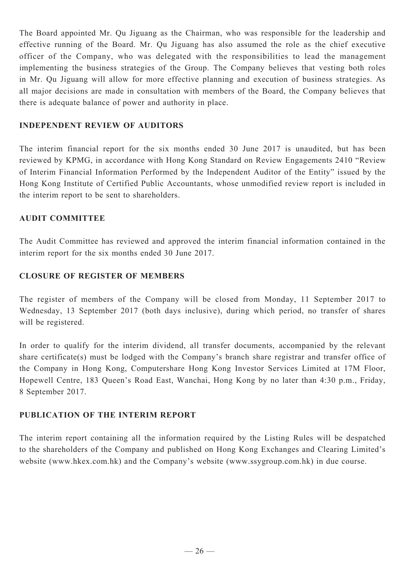The Board appointed Mr. Qu Jiguang as the Chairman, who was responsible for the leadership and effective running of the Board. Mr. Qu Jiguang has also assumed the role as the chief executive officer of the Company, who was delegated with the responsibilities to lead the management implementing the business strategies of the Group. The Company believes that vesting both roles in Mr. Qu Jiguang will allow for more effective planning and execution of business strategies. As all major decisions are made in consultation with members of the Board, the Company believes that there is adequate balance of power and authority in place.

# **INDEPENDENT REVIEW OF AUDITORS**

The interim financial report for the six months ended 30 June 2017 is unaudited, but has been reviewed by KPMG, in accordance with Hong Kong Standard on Review Engagements 2410 "Review of Interim Financial Information Performed by the Independent Auditor of the Entity" issued by the Hong Kong Institute of Certified Public Accountants, whose unmodified review report is included in the interim report to be sent to shareholders.

# **AUDIT COMMITTEE**

The Audit Committee has reviewed and approved the interim financial information contained in the interim report for the six months ended 30 June 2017.

# **CLOSURE OF REGISTER OF MEMBERS**

The register of members of the Company will be closed from Monday, 11 September 2017 to Wednesday, 13 September 2017 (both days inclusive), during which period, no transfer of shares will be registered.

In order to qualify for the interim dividend, all transfer documents, accompanied by the relevant share certificate(s) must be lodged with the Company's branch share registrar and transfer office of the Company in Hong Kong, Computershare Hong Kong Investor Services Limited at 17M Floor, Hopewell Centre, 183 Queen's Road East, Wanchai, Hong Kong by no later than 4:30 p.m., Friday, 8 September 2017.

# **PUBLICATION OF THE INTERIM REPORT**

The interim report containing all the information required by the Listing Rules will be despatched to the shareholders of the Company and published on Hong Kong Exchanges and Clearing Limited's website (www.hkex.com.hk) and the Company's website (www.ssygroup.com.hk) in due course.